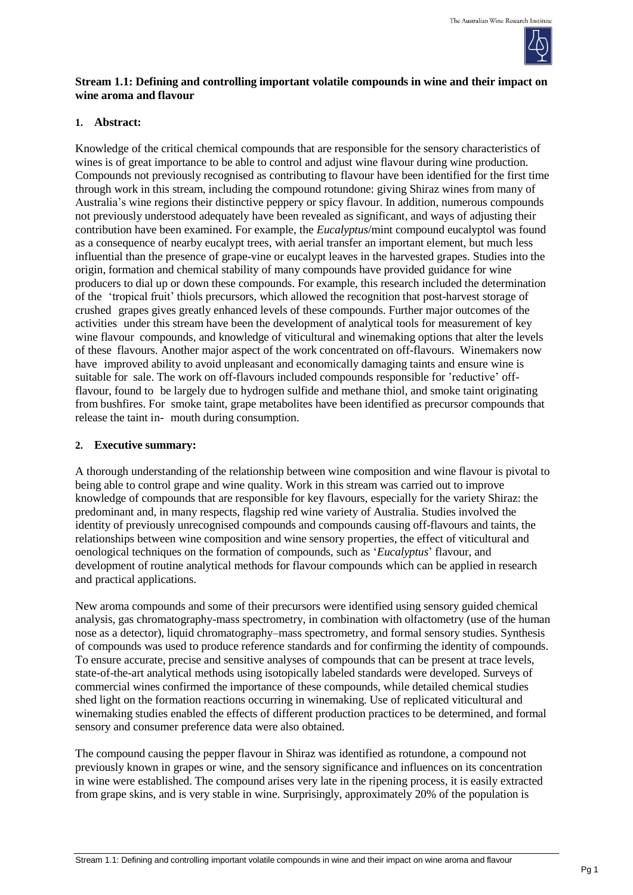

# **Stream 1.1: Defining and controlling important volatile compounds in wine and their impact on wine aroma and flavour**

### **1. Abstract:**

Knowledge of the critical chemical compounds that are responsible for the sensory characteristics of wines is of great importance to be able to control and adjust wine flavour during wine production. Compounds not previously recognised as contributing to flavour have been identified for the first time through work in this stream, including the compound rotundone: giving Shiraz wines from many of Australia's wine regions their distinctive peppery or spicy flavour. In addition, numerous compounds not previously understood adequately have been revealed as significant, and ways of adjusting their contribution have been examined. For example, the *Eucalyptus*/mint compound eucalyptol was found as a consequence of nearby eucalypt trees, with aerial transfer an important element, but much less influential than the presence of grape-vine or eucalypt leaves in the harvested grapes. Studies into the origin, formation and chemical stability of many compounds have provided guidance for wine producers to dial up or down these compounds. For example, this research included the determination of the 'tropical fruit' thiols precursors, which allowed the recognition that post-harvest storage of crushed grapes gives greatly enhanced levels of these compounds. Further major outcomes of the activities under this stream have been the development of analytical tools for measurement of key wine flavour compounds, and knowledge of viticultural and winemaking options that alter the levels of these flavours. Another major aspect of the work concentrated on off-flavours. Winemakers now have improved ability to avoid unpleasant and economically damaging taints and ensure wine is suitable for sale. The work on off-flavours included compounds responsible for 'reductive' offflavour, found to be largely due to hydrogen sulfide and methane thiol, and smoke taint originating from bushfires. For smoke taint, grape metabolites have been identified as precursor compounds that release the taint in- mouth during consumption.

#### **2. Executive summary:**

A thorough understanding of the relationship between wine composition and wine flavour is pivotal to being able to control grape and wine quality. Work in this stream was carried out to improve knowledge of compounds that are responsible for key flavours, especially for the variety Shiraz: the predominant and, in many respects, flagship red wine variety of Australia. Studies involved the identity of previously unrecognised compounds and compounds causing off-flavours and taints, the relationships between wine composition and wine sensory properties, the effect of viticultural and oenological techniques on the formation of compounds, such as '*Eucalyptus*' flavour, and development of routine analytical methods for flavour compounds which can be applied in research and practical applications.

New aroma compounds and some of their precursors were identified using sensory guided chemical analysis, gas chromatography-mass spectrometry, in combination with olfactometry (use of the human nose as a detector), liquid chromatography–mass spectrometry, and formal sensory studies. Synthesis of compounds was used to produce reference standards and for confirming the identity of compounds. To ensure accurate, precise and sensitive analyses of compounds that can be present at trace levels, state-of-the-art analytical methods using isotopically labeled standards were developed. Surveys of commercial wines confirmed the importance of these compounds, while detailed chemical studies shed light on the formation reactions occurring in winemaking. Use of replicated viticultural and winemaking studies enabled the effects of different production practices to be determined, and formal sensory and consumer preference data were also obtained.

The compound causing the pepper flavour in Shiraz was identified as rotundone, a compound not previously known in grapes or wine, and the sensory significance and influences on its concentration in wine were established. The compound arises very late in the ripening process, it is easily extracted from grape skins, and is very stable in wine. Surprisingly, approximately 20% of the population is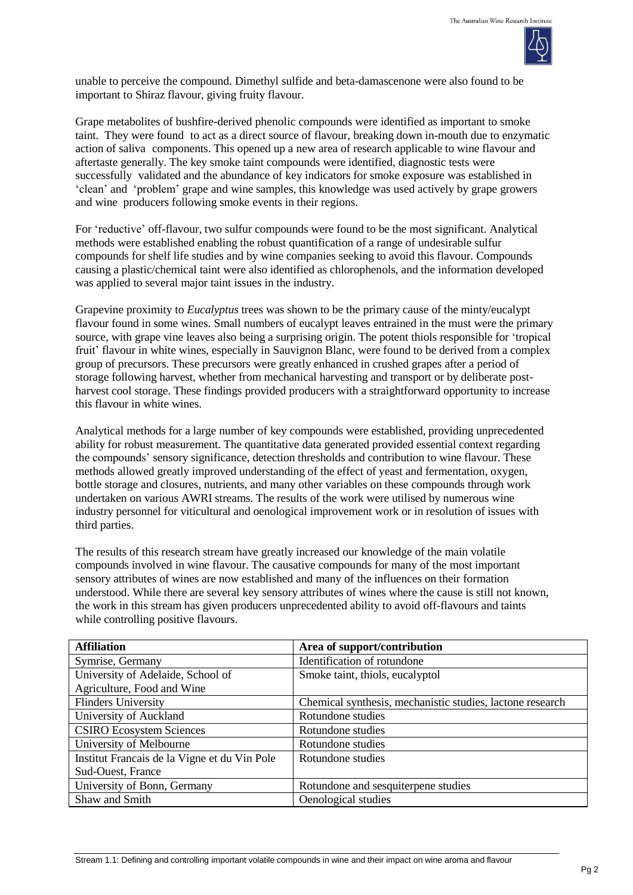

unable to perceive the compound. Dimethyl sulfide and beta-damascenone were also found to be important to Shiraz flavour, giving fruity flavour.

Grape metabolites of bushfire-derived phenolic compounds were identified as important to smoke taint. They were found to act as a direct source of flavour, breaking down in-mouth due to enzymatic action of saliva components. This opened up a new area of research applicable to wine flavour and aftertaste generally. The key smoke taint compounds were identified, diagnostic tests were successfully validated and the abundance of key indicators for smoke exposure was established in 'clean' and 'problem' grape and wine samples, this knowledge was used actively by grape growers and wine producers following smoke events in their regions.

For 'reductive' off-flavour, two sulfur compounds were found to be the most significant. Analytical methods were established enabling the robust quantification of a range of undesirable sulfur compounds for shelf life studies and by wine companies seeking to avoid this flavour. Compounds causing a plastic/chemical taint were also identified as chlorophenols, and the information developed was applied to several major taint issues in the industry.

Grapevine proximity to *Eucalyptus* trees was shown to be the primary cause of the minty/eucalypt flavour found in some wines. Small numbers of eucalypt leaves entrained in the must were the primary source, with grape vine leaves also being a surprising origin. The potent thiols responsible for 'tropical fruit' flavour in white wines, especially in Sauvignon Blanc, were found to be derived from a complex group of precursors. These precursors were greatly enhanced in crushed grapes after a period of storage following harvest, whether from mechanical harvesting and transport or by deliberate postharvest cool storage. These findings provided producers with a straightforward opportunity to increase this flavour in white wines.

Analytical methods for a large number of key compounds were established, providing unprecedented ability for robust measurement. The quantitative data generated provided essential context regarding the compounds' sensory significance, detection thresholds and contribution to wine flavour. These methods allowed greatly improved understanding of the effect of yeast and fermentation, oxygen, bottle storage and closures, nutrients, and many other variables on these compounds through work undertaken on various AWRI streams. The results of the work were utilised by numerous wine industry personnel for viticultural and oenological improvement work or in resolution of issues with third parties.

The results of this research stream have greatly increased our knowledge of the main volatile compounds involved in wine flavour. The causative compounds for many of the most important sensory attributes of wines are now established and many of the influences on their formation understood. While there are several key sensory attributes of wines where the cause is still not known, the work in this stream has given producers unprecedented ability to avoid off-flavours and taints while controlling positive flavours.

| <b>Affiliation</b>                           | Area of support/contribution                              |
|----------------------------------------------|-----------------------------------------------------------|
| Symrise, Germany                             | Identification of rotundone                               |
| University of Adelaide, School of            | Smoke taint, thiols, eucalyptol                           |
| Agriculture, Food and Wine                   |                                                           |
| <b>Flinders University</b>                   | Chemical synthesis, mechanistic studies, lactone research |
| University of Auckland                       | Rotundone studies                                         |
| <b>CSIRO Ecosystem Sciences</b>              | Rotundone studies                                         |
| University of Melbourne                      | Rotundone studies                                         |
| Institut Francais de la Vigne et du Vin Pole | Rotundone studies                                         |
| Sud-Ouest, France                            |                                                           |
| University of Bonn, Germany                  | Rotundone and sesquiterpene studies                       |
| Shaw and Smith                               | Oenological studies                                       |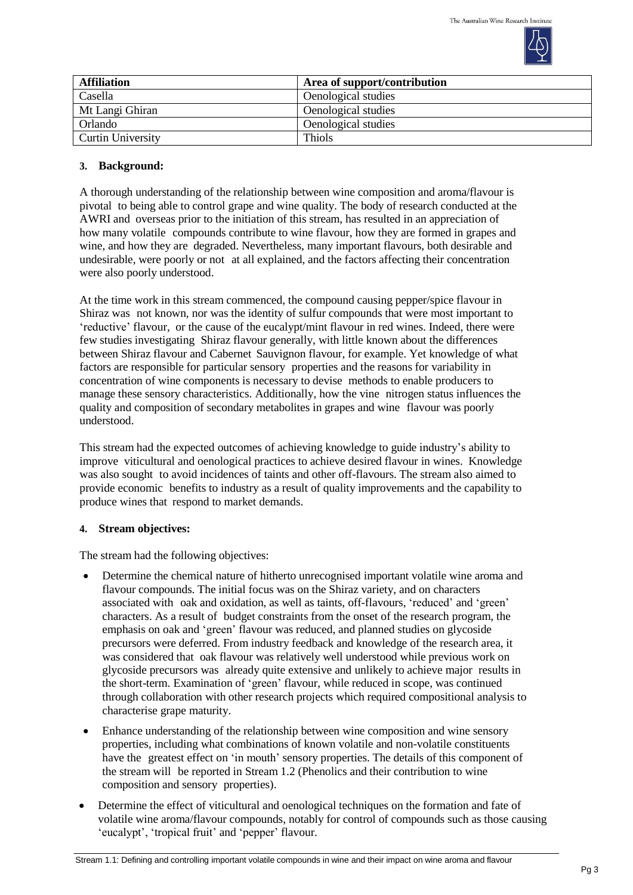

| <b>Affiliation</b>       | Area of support/contribution |
|--------------------------|------------------------------|
| Casella                  | Oenological studies          |
| Mt Langi Ghiran          | Oenological studies          |
| Orlando                  | Oenological studies          |
| <b>Curtin University</b> | <b>Thiols</b>                |

# **3. Background:**

A thorough understanding of the relationship between wine composition and aroma/flavour is pivotal to being able to control grape and wine quality. The body of research conducted at the AWRI and overseas prior to the initiation of this stream, has resulted in an appreciation of how many volatile compounds contribute to wine flavour, how they are formed in grapes and wine, and how they are degraded. Nevertheless, many important flavours, both desirable and undesirable, were poorly or not at all explained, and the factors affecting their concentration were also poorly understood.

At the time work in this stream commenced, the compound causing pepper/spice flavour in Shiraz was not known, nor was the identity of sulfur compounds that were most important to 'reductive' flavour, or the cause of the eucalypt/mint flavour in red wines. Indeed, there were few studies investigating Shiraz flavour generally, with little known about the differences between Shiraz flavour and Cabernet Sauvignon flavour, for example. Yet knowledge of what factors are responsible for particular sensory properties and the reasons for variability in concentration of wine components is necessary to devise methods to enable producers to manage these sensory characteristics. Additionally, how the vine nitrogen status influences the quality and composition of secondary metabolites in grapes and wine flavour was poorly understood.

This stream had the expected outcomes of achieving knowledge to guide industry's ability to improve viticultural and oenological practices to achieve desired flavour in wines. Knowledge was also sought to avoid incidences of taints and other off-flavours. The stream also aimed to provide economic benefits to industry as a result of quality improvements and the capability to produce wines that respond to market demands.

### **4. Stream objectives:**

The stream had the following objectives:

- Determine the chemical nature of hitherto unrecognised important volatile wine aroma and flavour compounds. The initial focus was on the Shiraz variety, and on characters associated with oak and oxidation, as well as taints, off-flavours, 'reduced' and 'green' characters. As a result of budget constraints from the onset of the research program, the emphasis on oak and 'green' flavour was reduced, and planned studies on glycoside precursors were deferred. From industry feedback and knowledge of the research area, it was considered that oak flavour was relatively well understood while previous work on glycoside precursors was already quite extensive and unlikely to achieve major results in the short-term. Examination of 'green' flavour, while reduced in scope, was continued through collaboration with other research projects which required compositional analysis to characterise grape maturity.
- Enhance understanding of the relationship between wine composition and wine sensory properties, including what combinations of known volatile and non-volatile constituents have the greatest effect on 'in mouth' sensory properties. The details of this component of the stream will be reported in Stream 1.2 (Phenolics and their contribution to wine composition and sensory properties).
- Determine the effect of viticultural and oenological techniques on the formation and fate of volatile wine aroma/flavour compounds, notably for control of compounds such as those causing 'eucalypt', 'tropical fruit' and 'pepper' flavour.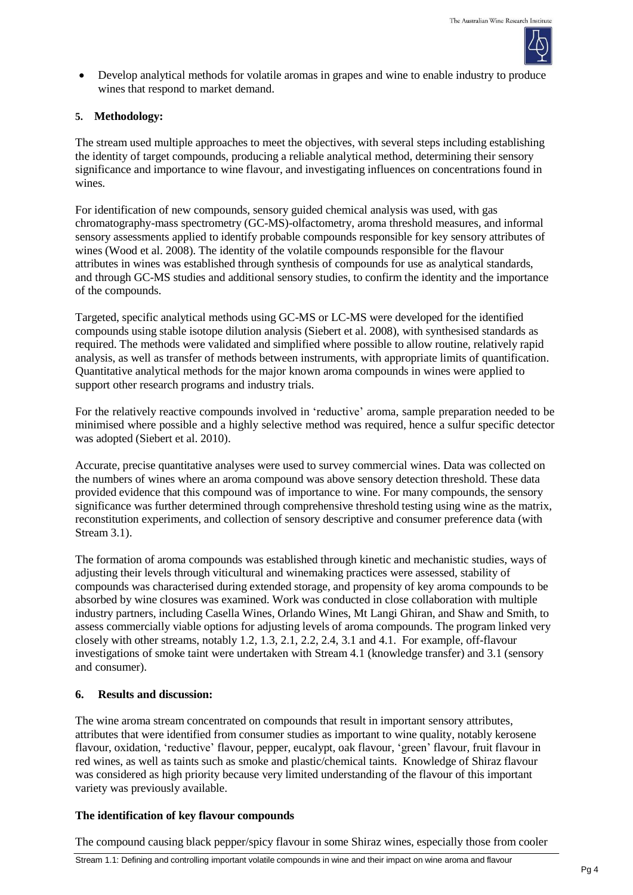

 Develop analytical methods for volatile aromas in grapes and wine to enable industry to produce wines that respond to market demand.

## **5. Methodology:**

The stream used multiple approaches to meet the objectives, with several steps including establishing the identity of target compounds, producing a reliable analytical method, determining their sensory significance and importance to wine flavour, and investigating influences on concentrations found in wines.

For identification of new compounds, sensory guided chemical analysis was used, with gas chromatography-mass spectrometry (GC-MS)-olfactometry, aroma threshold measures, and informal sensory assessments applied to identify probable compounds responsible for key sensory attributes of wines (Wood et al. 2008). The identity of the volatile compounds responsible for the flavour attributes in wines was established through synthesis of compounds for use as analytical standards, and through GC-MS studies and additional sensory studies, to confirm the identity and the importance of the compounds.

Targeted, specific analytical methods using GC-MS or LC-MS were developed for the identified compounds using stable isotope dilution analysis (Siebert et al. 2008), with synthesised standards as required. The methods were validated and simplified where possible to allow routine, relatively rapid analysis, as well as transfer of methods between instruments, with appropriate limits of quantification. Quantitative analytical methods for the major known aroma compounds in wines were applied to support other research programs and industry trials.

For the relatively reactive compounds involved in 'reductive' aroma, sample preparation needed to be minimised where possible and a highly selective method was required, hence a sulfur specific detector was adopted (Siebert et al. 2010).

Accurate, precise quantitative analyses were used to survey commercial wines. Data was collected on the numbers of wines where an aroma compound was above sensory detection threshold. These data provided evidence that this compound was of importance to wine. For many compounds, the sensory significance was further determined through comprehensive threshold testing using wine as the matrix, reconstitution experiments, and collection of sensory descriptive and consumer preference data (with Stream 3.1).

The formation of aroma compounds was established through kinetic and mechanistic studies, ways of adjusting their levels through viticultural and winemaking practices were assessed, stability of compounds was characterised during extended storage, and propensity of key aroma compounds to be absorbed by wine closures was examined. Work was conducted in close collaboration with multiple industry partners, including Casella Wines, Orlando Wines, Mt Langi Ghiran, and Shaw and Smith, to assess commercially viable options for adjusting levels of aroma compounds. The program linked very closely with other streams, notably 1.2, 1.3, 2.1, 2.2, 2.4, 3.1 and 4.1. For example, off-flavour investigations of smoke taint were undertaken with Stream 4.1 (knowledge transfer) and 3.1 (sensory and consumer).

### **6. Results and discussion:**

The wine aroma stream concentrated on compounds that result in important sensory attributes, attributes that were identified from consumer studies as important to wine quality, notably kerosene flavour, oxidation, 'reductive' flavour, pepper, eucalypt, oak flavour, 'green' flavour, fruit flavour in red wines, as well as taints such as smoke and plastic/chemical taints. Knowledge of Shiraz flavour was considered as high priority because very limited understanding of the flavour of this important variety was previously available.

### **The identification of key flavour compounds**

The compound causing black pepper/spicy flavour in some Shiraz wines, especially those from cooler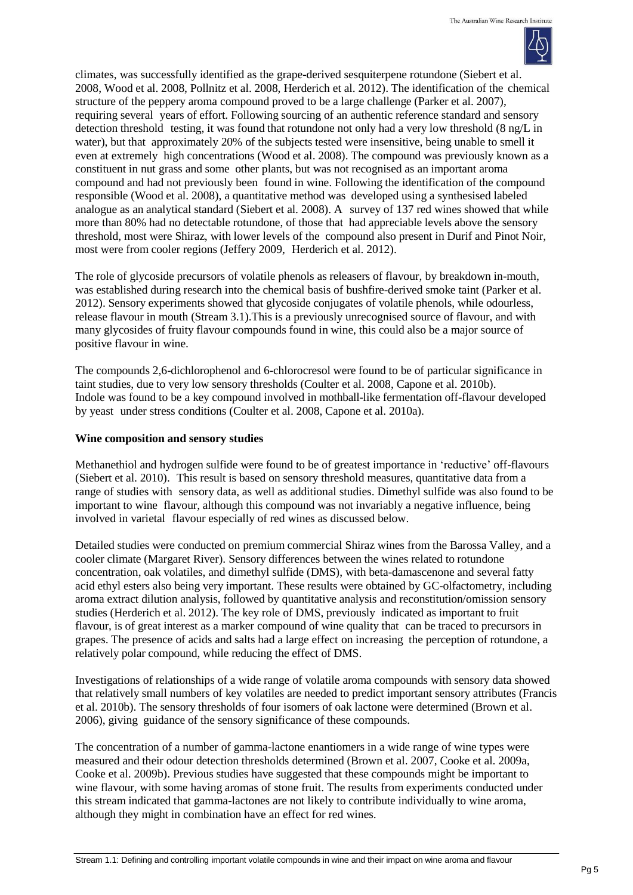

climates, was successfully identified as the grape-derived sesquiterpene rotundone (Siebert et al. 2008, Wood et al. 2008, Pollnitz et al. 2008, Herderich et al. 2012). The identification of the chemical structure of the peppery aroma compound proved to be a large challenge (Parker et al. 2007), requiring several years of effort. Following sourcing of an authentic reference standard and sensory detection threshold testing, it was found that rotundone not only had a very low threshold (8 ng/L in water), but that approximately 20% of the subjects tested were insensitive, being unable to smell it even at extremely high concentrations (Wood et al. 2008). The compound was previously known as a constituent in nut grass and some other plants, but was not recognised as an important aroma compound and had not previously been found in wine. Following the identification of the compound responsible (Wood et al. 2008), a quantitative method was developed using a synthesised labeled analogue as an analytical standard (Siebert et al. 2008). A survey of 137 red wines showed that while more than 80% had no detectable rotundone, of those that had appreciable levels above the sensory threshold, most were Shiraz, with lower levels of the compound also present in Durif and Pinot Noir, most were from cooler regions (Jeffery 2009, Herderich et al. 2012).

The role of glycoside precursors of volatile phenols as releasers of flavour, by breakdown in-mouth, was established during research into the chemical basis of bushfire-derived smoke taint (Parker et al. 2012). Sensory experiments showed that glycoside conjugates of volatile phenols, while odourless, release flavour in mouth (Stream 3.1).This is a previously unrecognised source of flavour, and with many glycosides of fruity flavour compounds found in wine, this could also be a major source of positive flavour in wine.

The compounds 2,6-dichlorophenol and 6-chlorocresol were found to be of particular significance in taint studies, due to very low sensory thresholds (Coulter et al. 2008, Capone et al. 2010b). Indole was found to be a key compound involved in mothball-like fermentation off-flavour developed by yeast under stress conditions (Coulter et al. 2008, Capone et al. 2010a).

### **Wine composition and sensory studies**

Methanethiol and hydrogen sulfide were found to be of greatest importance in 'reductive' off-flavours (Siebert et al. 2010). This result is based on sensory threshold measures, quantitative data from a range of studies with sensory data, as well as additional studies. Dimethyl sulfide was also found to be important to wine flavour, although this compound was not invariably a negative influence, being involved in varietal flavour especially of red wines as discussed below.

Detailed studies were conducted on premium commercial Shiraz wines from the Barossa Valley, and a cooler climate (Margaret River). Sensory differences between the wines related to rotundone concentration, oak volatiles, and dimethyl sulfide (DMS), with beta-damascenone and several fatty acid ethyl esters also being very important. These results were obtained by GC-olfactometry, including aroma extract dilution analysis, followed by quantitative analysis and reconstitution/omission sensory studies (Herderich et al. 2012). The key role of DMS, previously indicated as important to fruit flavour, is of great interest as a marker compound of wine quality that can be traced to precursors in grapes. The presence of acids and salts had a large effect on increasing the perception of rotundone, a relatively polar compound, while reducing the effect of DMS.

Investigations of relationships of a wide range of volatile aroma compounds with sensory data showed that relatively small numbers of key volatiles are needed to predict important sensory attributes (Francis et al. 2010b). The sensory thresholds of four isomers of oak lactone were determined (Brown et al. 2006), giving guidance of the sensory significance of these compounds.

The concentration of a number of gamma-lactone enantiomers in a wide range of wine types were measured and their odour detection thresholds determined (Brown et al. 2007, Cooke et al. 2009a, Cooke et al. 2009b). Previous studies have suggested that these compounds might be important to wine flavour, with some having aromas of stone fruit. The results from experiments conducted under this stream indicated that gamma-lactones are not likely to contribute individually to wine aroma, although they might in combination have an effect for red wines.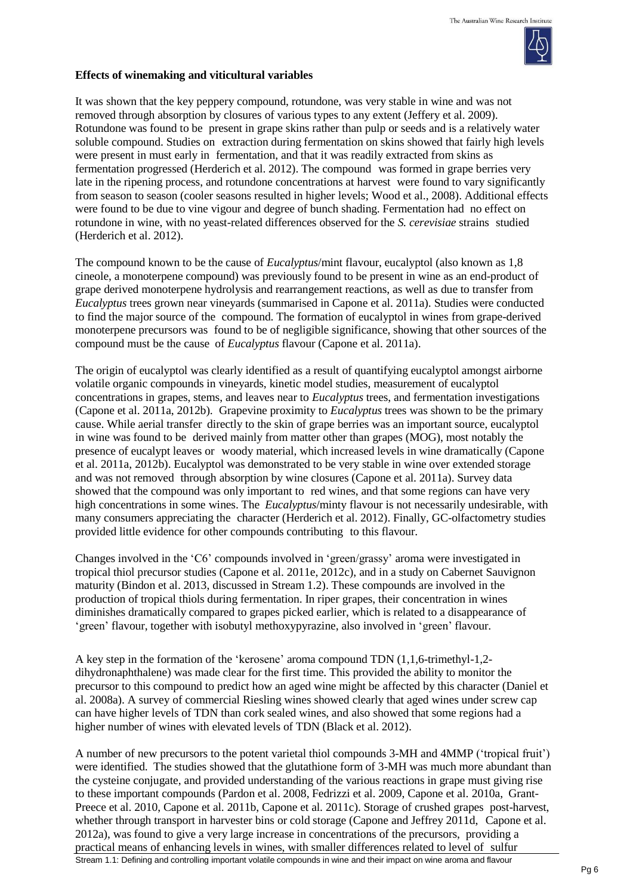

#### **Effects of winemaking and viticultural variables**

It was shown that the key peppery compound, rotundone, was very stable in wine and was not removed through absorption by closures of various types to any extent (Jeffery et al. 2009). Rotundone was found to be present in grape skins rather than pulp or seeds and is a relatively water soluble compound. Studies on extraction during fermentation on skins showed that fairly high levels were present in must early in fermentation, and that it was readily extracted from skins as fermentation progressed (Herderich et al. 2012). The compound was formed in grape berries very late in the ripening process, and rotundone concentrations at harvest were found to vary significantly from season to season (cooler seasons resulted in higher levels; Wood et al., 2008). Additional effects were found to be due to vine vigour and degree of bunch shading. Fermentation had no effect on rotundone in wine, with no yeast-related differences observed for the *S. cerevisiae* strains studied (Herderich et al. 2012).

The compound known to be the cause of *Eucalyptus*/mint flavour, eucalyptol (also known as 1,8 cineole, a monoterpene compound) was previously found to be present in wine as an end-product of grape derived monoterpene hydrolysis and rearrangement reactions, as well as due to transfer from *Eucalyptus* trees grown near vineyards (summarised in Capone et al. 2011a). Studies were conducted to find the major source of the compound. The formation of eucalyptol in wines from grape-derived monoterpene precursors was found to be of negligible significance, showing that other sources of the compound must be the cause of *Eucalyptus* flavour (Capone et al. 2011a).

The origin of eucalyptol was clearly identified as a result of quantifying eucalyptol amongst airborne volatile organic compounds in vineyards, kinetic model studies, measurement of eucalyptol concentrations in grapes, stems, and leaves near to *Eucalyptus* trees, and fermentation investigations (Capone et al. 2011a, 2012b). Grapevine proximity to *Eucalyptus* trees was shown to be the primary cause. While aerial transfer directly to the skin of grape berries was an important source, eucalyptol in wine was found to be derived mainly from matter other than grapes (MOG), most notably the presence of eucalypt leaves or woody material, which increased levels in wine dramatically (Capone et al. 2011a, 2012b). Eucalyptol was demonstrated to be very stable in wine over extended storage and was not removed through absorption by wine closures (Capone et al. 2011a). Survey data showed that the compound was only important to red wines, and that some regions can have very high concentrations in some wines. The *Eucalyptus*/minty flavour is not necessarily undesirable, with many consumers appreciating the character (Herderich et al. 2012). Finally, GC-olfactometry studies provided little evidence for other compounds contributing to this flavour.

Changes involved in the 'C6' compounds involved in 'green/grassy' aroma were investigated in tropical thiol precursor studies (Capone et al. 2011e, 2012c), and in a study on Cabernet Sauvignon maturity (Bindon et al. 2013, discussed in Stream 1.2). These compounds are involved in the production of tropical thiols during fermentation. In riper grapes, their concentration in wines diminishes dramatically compared to grapes picked earlier, which is related to a disappearance of 'green' flavour, together with isobutyl methoxypyrazine, also involved in 'green' flavour.

A key step in the formation of the 'kerosene' aroma compound TDN (1,1,6-trimethyl-1,2 dihydronaphthalene) was made clear for the first time. This provided the ability to monitor the precursor to this compound to predict how an aged wine might be affected by this character (Daniel et al. 2008a). A survey of commercial Riesling wines showed clearly that aged wines under screw cap can have higher levels of TDN than cork sealed wines, and also showed that some regions had a higher number of wines with elevated levels of TDN (Black et al. 2012).

Stream 1.1: Defining and controlling important volatile compounds in wine and their impact on wine aroma and flavour A number of new precursors to the potent varietal thiol compounds 3-MH and 4MMP ('tropical fruit') were identified. The studies showed that the glutathione form of 3-MH was much more abundant than the cysteine conjugate, and provided understanding of the various reactions in grape must giving rise to these important compounds (Pardon et al. 2008, Fedrizzi et al. 2009, Capone et al. 2010a, Grant-Preece et al. 2010, Capone et al. 2011b, Capone et al. 2011c). Storage of crushed grapes post-harvest, whether through transport in harvester bins or cold storage (Capone and Jeffrey 2011d, Capone et al. 2012a), was found to give a very large increase in concentrations of the precursors, providing a practical means of enhancing levels in wines, with smaller differences related to level of sulfur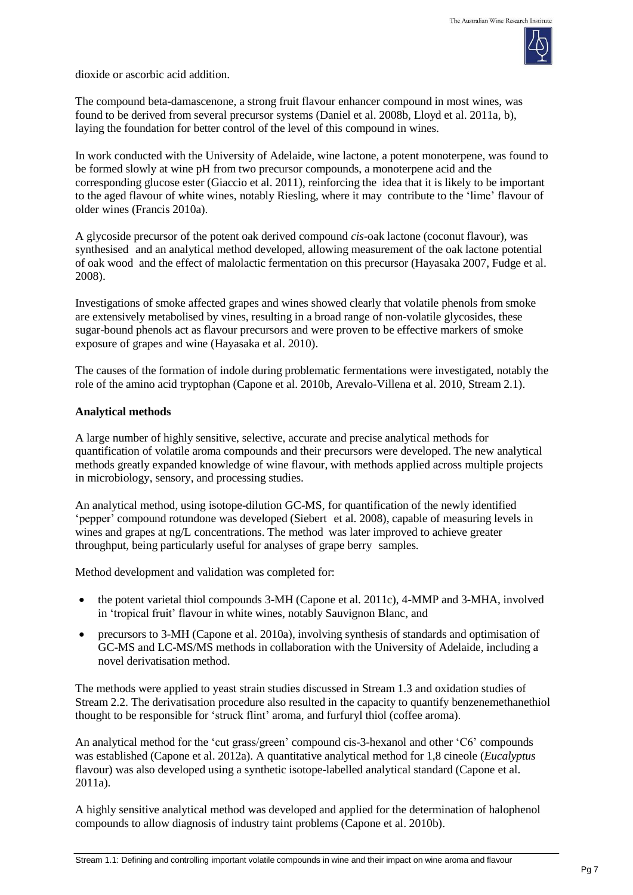

dioxide or ascorbic acid addition.

The compound beta-damascenone, a strong fruit flavour enhancer compound in most wines, was found to be derived from several precursor systems (Daniel et al. 2008b, Lloyd et al. 2011a, b), laying the foundation for better control of the level of this compound in wines.

In work conducted with the University of Adelaide, wine lactone, a potent monoterpene, was found to be formed slowly at wine pH from two precursor compounds, a monoterpene acid and the corresponding glucose ester (Giaccio et al. 2011), reinforcing the idea that it is likely to be important to the aged flavour of white wines, notably Riesling, where it may contribute to the 'lime' flavour of older wines (Francis 2010a).

A glycoside precursor of the potent oak derived compound *cis*-oak lactone (coconut flavour), was synthesised and an analytical method developed, allowing measurement of the oak lactone potential of oak wood and the effect of malolactic fermentation on this precursor (Hayasaka 2007, Fudge et al. 2008).

Investigations of smoke affected grapes and wines showed clearly that volatile phenols from smoke are extensively metabolised by vines, resulting in a broad range of non-volatile glycosides, these sugar-bound phenols act as flavour precursors and were proven to be effective markers of smoke exposure of grapes and wine (Hayasaka et al. 2010).

The causes of the formation of indole during problematic fermentations were investigated, notably the role of the amino acid tryptophan (Capone et al. 2010b, Arevalo-Villena et al. 2010, Stream 2.1).

### **Analytical methods**

A large number of highly sensitive, selective, accurate and precise analytical methods for quantification of volatile aroma compounds and their precursors were developed. The new analytical methods greatly expanded knowledge of wine flavour, with methods applied across multiple projects in microbiology, sensory, and processing studies.

An analytical method, using isotope-dilution GC-MS, for quantification of the newly identified 'pepper' compound rotundone was developed (Siebert et al. 2008), capable of measuring levels in wines and grapes at ng/L concentrations. The method was later improved to achieve greater throughput, being particularly useful for analyses of grape berry samples.

Method development and validation was completed for:

- the potent varietal thiol compounds 3-MH (Capone et al. 2011c), 4-MMP and 3-MHA, involved in 'tropical fruit' flavour in white wines, notably Sauvignon Blanc, and
- precursors to 3-MH (Capone et al. 2010a), involving synthesis of standards and optimisation of GC-MS and LC-MS/MS methods in collaboration with the University of Adelaide, including a novel derivatisation method.

The methods were applied to yeast strain studies discussed in Stream 1.3 and oxidation studies of Stream 2.2. The derivatisation procedure also resulted in the capacity to quantify benzenemethanethiol thought to be responsible for 'struck flint' aroma, and furfuryl thiol (coffee aroma).

An analytical method for the 'cut grass/green' compound cis-3-hexanol and other 'C6' compounds was established (Capone et al. 2012a). A quantitative analytical method for 1,8 cineole (*Eucalyptus* flavour) was also developed using a synthetic isotope-labelled analytical standard (Capone et al. 2011a).

A highly sensitive analytical method was developed and applied for the determination of halophenol compounds to allow diagnosis of industry taint problems (Capone et al. 2010b).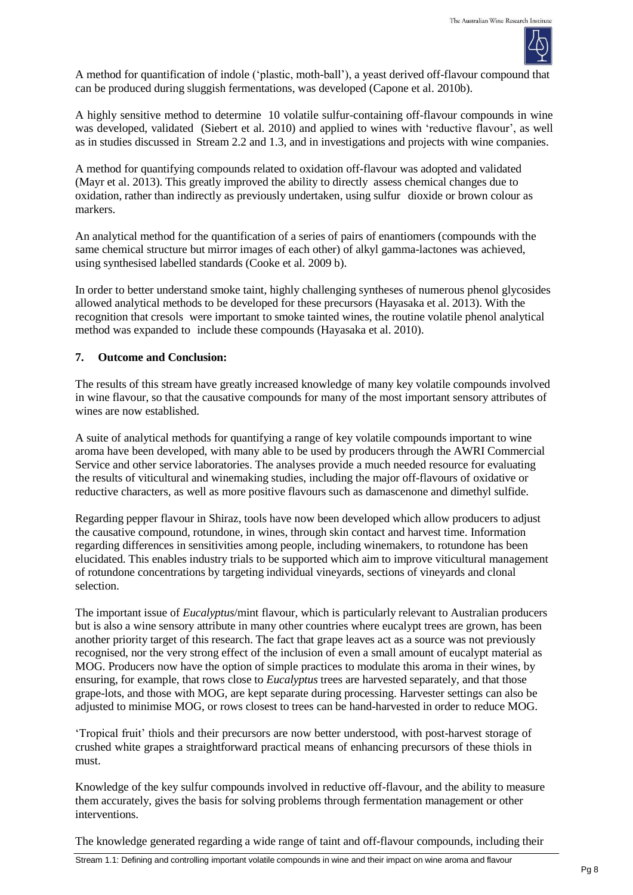

A method for quantification of indole ('plastic, moth-ball'), a yeast derived off-flavour compound that can be produced during sluggish fermentations, was developed (Capone et al. 2010b).

A highly sensitive method to determine 10 volatile sulfur-containing off-flavour compounds in wine was developed, validated (Siebert et al. 2010) and applied to wines with 'reductive flavour', as well as in studies discussed in Stream 2.2 and 1.3, and in investigations and projects with wine companies.

A method for quantifying compounds related to oxidation off-flavour was adopted and validated (Mayr et al. 2013). This greatly improved the ability to directly assess chemical changes due to oxidation, rather than indirectly as previously undertaken, using sulfur dioxide or brown colour as markers.

An analytical method for the quantification of a series of pairs of enantiomers (compounds with the same chemical structure but mirror images of each other) of alkyl gamma-lactones was achieved, using synthesised labelled standards (Cooke et al. 2009 b).

In order to better understand smoke taint, highly challenging syntheses of numerous phenol glycosides allowed analytical methods to be developed for these precursors (Hayasaka et al. 2013). With the recognition that cresols were important to smoke tainted wines, the routine volatile phenol analytical method was expanded to include these compounds (Hayasaka et al. 2010).

### **7. Outcome and Conclusion:**

The results of this stream have greatly increased knowledge of many key volatile compounds involved in wine flavour, so that the causative compounds for many of the most important sensory attributes of wines are now established.

A suite of analytical methods for quantifying a range of key volatile compounds important to wine aroma have been developed, with many able to be used by producers through the AWRI Commercial Service and other service laboratories. The analyses provide a much needed resource for evaluating the results of viticultural and winemaking studies, including the major off-flavours of oxidative or reductive characters, as well as more positive flavours such as damascenone and dimethyl sulfide.

Regarding pepper flavour in Shiraz, tools have now been developed which allow producers to adjust the causative compound, rotundone, in wines, through skin contact and harvest time. Information regarding differences in sensitivities among people, including winemakers, to rotundone has been elucidated. This enables industry trials to be supported which aim to improve viticultural management of rotundone concentrations by targeting individual vineyards, sections of vineyards and clonal selection.

The important issue of *Eucalyptus*/mint flavour, which is particularly relevant to Australian producers but is also a wine sensory attribute in many other countries where eucalypt trees are grown, has been another priority target of this research. The fact that grape leaves act as a source was not previously recognised, nor the very strong effect of the inclusion of even a small amount of eucalypt material as MOG. Producers now have the option of simple practices to modulate this aroma in their wines, by ensuring, for example, that rows close to *Eucalyptus* trees are harvested separately, and that those grape-lots, and those with MOG, are kept separate during processing. Harvester settings can also be adjusted to minimise MOG, or rows closest to trees can be hand-harvested in order to reduce MOG.

'Tropical fruit' thiols and their precursors are now better understood, with post-harvest storage of crushed white grapes a straightforward practical means of enhancing precursors of these thiols in must.

Knowledge of the key sulfur compounds involved in reductive off-flavour, and the ability to measure them accurately, gives the basis for solving problems through fermentation management or other interventions.

The knowledge generated regarding a wide range of taint and off-flavour compounds, including their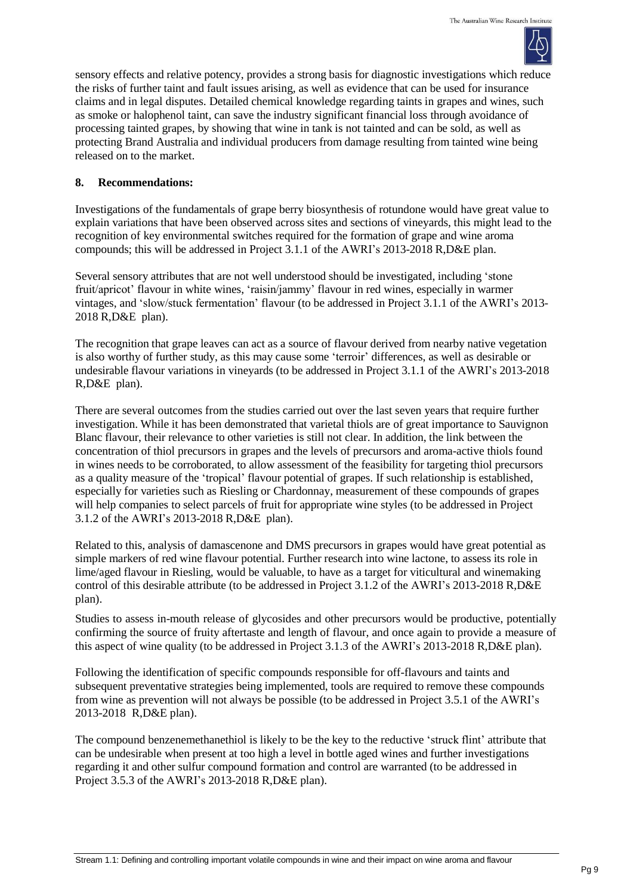

sensory effects and relative potency, provides a strong basis for diagnostic investigations which reduce the risks of further taint and fault issues arising, as well as evidence that can be used for insurance claims and in legal disputes. Detailed chemical knowledge regarding taints in grapes and wines, such as smoke or halophenol taint, can save the industry significant financial loss through avoidance of processing tainted grapes, by showing that wine in tank is not tainted and can be sold, as well as protecting Brand Australia and individual producers from damage resulting from tainted wine being released on to the market.

### **8. Recommendations:**

Investigations of the fundamentals of grape berry biosynthesis of rotundone would have great value to explain variations that have been observed across sites and sections of vineyards, this might lead to the recognition of key environmental switches required for the formation of grape and wine aroma compounds; this will be addressed in Project 3.1.1 of the AWRI's 2013-2018 R,D&E plan.

Several sensory attributes that are not well understood should be investigated, including 'stone fruit/apricot' flavour in white wines, 'raisin/jammy' flavour in red wines, especially in warmer vintages, and 'slow/stuck fermentation' flavour (to be addressed in Project 3.1.1 of the AWRI's 2013- 2018 R,D&E plan).

The recognition that grape leaves can act as a source of flavour derived from nearby native vegetation is also worthy of further study, as this may cause some 'terroir' differences, as well as desirable or undesirable flavour variations in vineyards (to be addressed in Project 3.1.1 of the AWRI's 2013-2018 R,D&E plan).

There are several outcomes from the studies carried out over the last seven years that require further investigation. While it has been demonstrated that varietal thiols are of great importance to Sauvignon Blanc flavour, their relevance to other varieties is still not clear. In addition, the link between the concentration of thiol precursors in grapes and the levels of precursors and aroma-active thiols found in wines needs to be corroborated, to allow assessment of the feasibility for targeting thiol precursors as a quality measure of the 'tropical' flavour potential of grapes. If such relationship is established, especially for varieties such as Riesling or Chardonnay, measurement of these compounds of grapes will help companies to select parcels of fruit for appropriate wine styles (to be addressed in Project 3.1.2 of the AWRI's 2013-2018 R,D&E plan).

Related to this, analysis of damascenone and DMS precursors in grapes would have great potential as simple markers of red wine flavour potential. Further research into wine lactone, to assess its role in lime/aged flavour in Riesling, would be valuable, to have as a target for viticultural and winemaking control of this desirable attribute (to be addressed in Project 3.1.2 of the AWRI's 2013-2018 R,D&E plan).

Studies to assess in-mouth release of glycosides and other precursors would be productive, potentially confirming the source of fruity aftertaste and length of flavour, and once again to provide a measure of this aspect of wine quality (to be addressed in Project 3.1.3 of the AWRI's 2013-2018 R,D&E plan).

Following the identification of specific compounds responsible for off-flavours and taints and subsequent preventative strategies being implemented, tools are required to remove these compounds from wine as prevention will not always be possible (to be addressed in Project 3.5.1 of the AWRI's 2013-2018 R,D&E plan).

The compound benzenemethanethiol is likely to be the key to the reductive 'struck flint' attribute that can be undesirable when present at too high a level in bottle aged wines and further investigations regarding it and other sulfur compound formation and control are warranted (to be addressed in Project 3.5.3 of the AWRI's 2013-2018 R,D&E plan).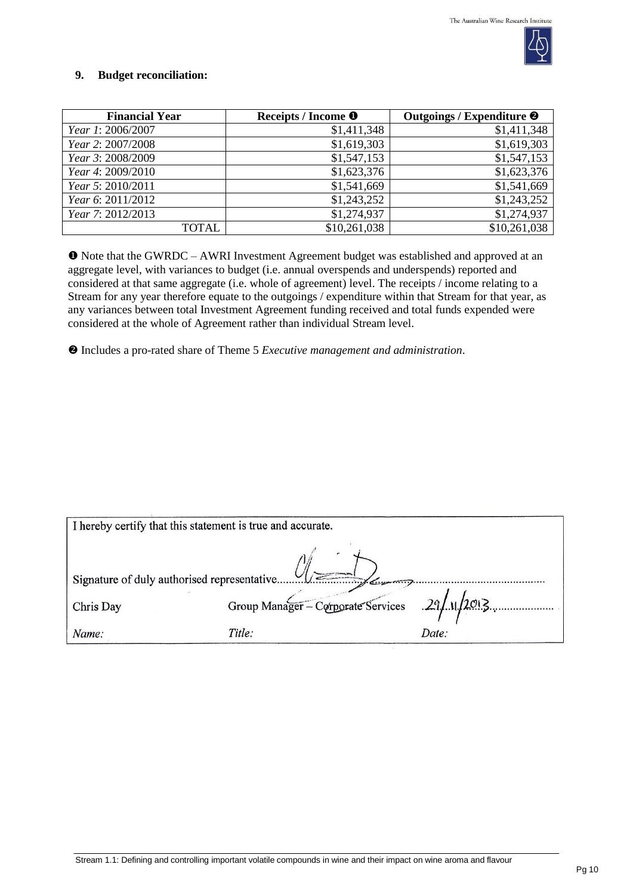

## **9. Budget reconciliation:**

| <b>Financial Year</b> | Receipts / Income <sup>O</sup> | Outgoings / Expenditure <sup>@</sup> |
|-----------------------|--------------------------------|--------------------------------------|
| Year 1: 2006/2007     | \$1,411,348                    | \$1,411,348                          |
| Year 2: 2007/2008     | \$1,619,303                    | \$1,619,303                          |
| Year 3: 2008/2009     | \$1,547,153                    | \$1,547,153                          |
| Year 4: 2009/2010     | \$1,623,376                    | \$1,623,376                          |
| Year 5: 2010/2011     | \$1,541,669                    | \$1,541,669                          |
| Year 6: 2011/2012     | \$1,243,252                    | \$1,243,252                          |
| Year 7: 2012/2013     | \$1,274,937                    | \$1,274,937                          |
| TOTAL                 | \$10,261,038                   | \$10,261,038                         |

 Note that the GWRDC – AWRI Investment Agreement budget was established and approved at an aggregate level, with variances to budget (i.e. annual overspends and underspends) reported and considered at that same aggregate (i.e. whole of agreement) level. The receipts / income relating to a Stream for any year therefore equate to the outgoings / expenditure within that Stream for that year, as any variances between total Investment Agreement funding received and total funds expended were considered at the whole of Agreement rather than individual Stream level.

Includes a pro-rated share of Theme 5 *Executive management and administration*.

| I hereby certify that this statement is true and accurate. |                                                   |       |  |  |
|------------------------------------------------------------|---------------------------------------------------|-------|--|--|
| Signature of duly authorised representative                |                                                   |       |  |  |
|                                                            | Group Manager - Corporate Services $29/11/2013$ . |       |  |  |
| Chris Day                                                  |                                                   |       |  |  |
| Name:                                                      | Title:                                            | Date: |  |  |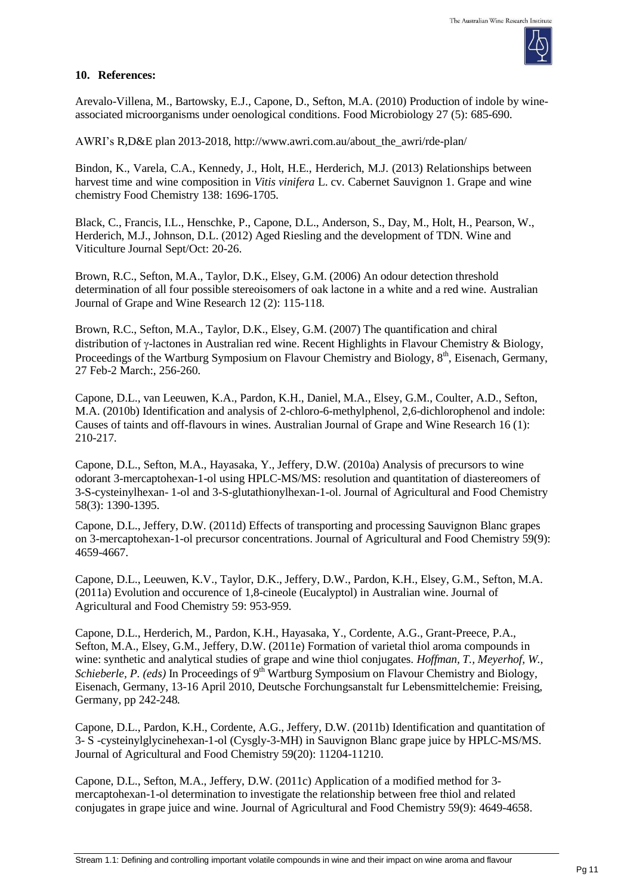

#### **10. References:**

Arevalo-Villena, M., Bartowsky, E.J., Capone, D., Sefton, M.A. (2010) Production of indole by wineassociated microorganisms under oenological conditions. Food Microbiology 27 (5): 685-690.

AWRI's R,D&E plan 2013-2018, [http://www.awri.com.au/about\\_the\\_awri/rde-plan/](http://www.awri.com.au/about_the_awri/rde-plan/)

Bindon, K., Varela, C.A., Kennedy, J., Holt, H.E., Herderich, M.J. (2013) Relationships between harvest time and wine composition in *Vitis vinifera* L. cv. Cabernet Sauvignon 1. Grape and wine chemistry Food Chemistry 138: 1696-1705.

Black, C., Francis, I.L., Henschke, P., Capone, D.L., Anderson, S., Day, M., Holt, H., Pearson, W., Herderich, M.J., Johnson, D.L. (2012) Aged Riesling and the development of TDN. Wine and Viticulture Journal Sept/Oct: 20-26.

Brown, R.C., Sefton, M.A., Taylor, D.K., Elsey, G.M. (2006) An odour detection threshold determination of all four possible stereoisomers of oak lactone in a white and a red wine. Australian Journal of Grape and Wine Research 12 (2): 115-118.

Brown, R.C., Sefton, M.A., Taylor, D.K., Elsey, G.M. (2007) The quantification and chiral distribution of  $\gamma$ -lactones in Australian red wine. Recent Highlights in Flavour Chemistry & Biology, Proceedings of the Wartburg Symposium on Flavour Chemistry and Biology, 8<sup>th</sup>, Eisenach, Germany, 27 Feb-2 March:, 256-260.

Capone, D.L., van Leeuwen, K.A., Pardon, K.H., Daniel, M.A., Elsey, G.M., Coulter, A.D., Sefton, M.A. (2010b) Identification and analysis of 2-chloro-6-methylphenol, 2,6-dichlorophenol and indole: Causes of taints and off-flavours in wines. Australian Journal of Grape and Wine Research 16 (1): 210-217.

Capone, D.L., Sefton, M.A., Hayasaka, Y., Jeffery, D.W. (2010a) Analysis of precursors to wine odorant 3-mercaptohexan-1-ol using HPLC-MS/MS: resolution and quantitation of diastereomers of 3-S-cysteinylhexan- 1-ol and 3-S-glutathionylhexan-1-ol. Journal of Agricultural and Food Chemistry 58(3): 1390-1395.

Capone, D.L., Jeffery, D.W. (2011d) Effects of transporting and processing Sauvignon Blanc grapes on 3-mercaptohexan-1-ol precursor concentrations. Journal of Agricultural and Food Chemistry 59(9): 4659-4667.

Capone, D.L., Leeuwen, K.V., Taylor, D.K., Jeffery, D.W., Pardon, K.H., Elsey, G.M., Sefton, M.A. (2011a) Evolution and occurence of 1,8-cineole (Eucalyptol) in Australian wine. Journal of Agricultural and Food Chemistry 59: 953-959.

Capone, D.L., Herderich, M., Pardon, K.H., Hayasaka, Y., Cordente, A.G., Grant-Preece, P.A., Sefton, M.A., Elsey, G.M., Jeffery, D.W. (2011e) Formation of varietal thiol aroma compounds in wine: synthetic and analytical studies of grape and wine thiol conjugates. *Hoffman, T., Meyerhof, W.,* Schieberle, P. (eds) In Proceedings of 9<sup>th</sup> Wartburg Symposium on Flavour Chemistry and Biology, Eisenach, Germany, 13-16 April 2010, Deutsche Forchungsanstalt fur Lebensmittelchemie: Freising, Germany, pp 242-248*.*

Capone, D.L., Pardon, K.H., Cordente, A.G., Jeffery, D.W. (2011b) Identification and quantitation of 3- S -cysteinylglycinehexan-1-ol (Cysgly-3-MH) in Sauvignon Blanc grape juice by HPLC-MS/MS. Journal of Agricultural and Food Chemistry 59(20): 11204-11210.

Capone, D.L., Sefton, M.A., Jeffery, D.W. (2011c) Application of a modified method for 3 mercaptohexan-1-ol determination to investigate the relationship between free thiol and related conjugates in grape juice and wine. Journal of Agricultural and Food Chemistry 59(9): 4649-4658.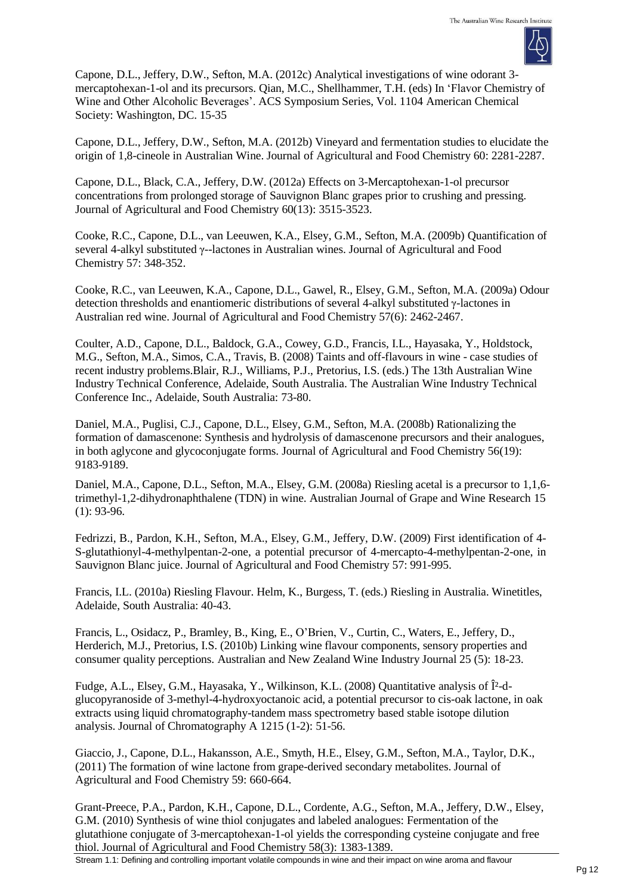

Capone, D.L., Jeffery, D.W., Sefton, M.A. (2012c) Analytical investigations of wine odorant 3 mercaptohexan-1-ol and its precursors. Qian, M.C., Shellhammer, T.H. (eds) In 'Flavor Chemistry of Wine and Other Alcoholic Beverages'. ACS Symposium Series, Vol. 1104 American Chemical Society: Washington, DC. 15-35

Capone, D.L., Jeffery, D.W., Sefton, M.A. (2012b) Vineyard and fermentation studies to elucidate the origin of 1,8-cineole in Australian Wine. Journal of Agricultural and Food Chemistry 60: 2281-2287.

Capone, D.L., Black, C.A., Jeffery, D.W. (2012a) Effects on 3-Mercaptohexan-1-ol precursor concentrations from prolonged storage of Sauvignon Blanc grapes prior to crushing and pressing. Journal of Agricultural and Food Chemistry 60(13): 3515-3523.

Cooke, R.C., Capone, D.L., van Leeuwen, K.A., Elsey, G.M., Sefton, M.A. (2009b) Quantification of several 4-alkyl substituted γ--lactones in Australian wines. Journal of Agricultural and Food Chemistry 57: 348-352.

Cooke, R.C., van Leeuwen, K.A., Capone, D.L., Gawel, R., Elsey, G.M., Sefton, M.A. (2009a) Odour detection thresholds and enantiomeric distributions of several 4-alkyl substituted γ-lactones in Australian red wine. Journal of Agricultural and Food Chemistry 57(6): 2462-2467.

Coulter, A.D., Capone, D.L., Baldock, G.A., Cowey, G.D., Francis, I.L., Hayasaka, Y., Holdstock, M.G., Sefton, M.A., Simos, C.A., Travis, B. (2008) Taints and off-flavours in wine - case studies of recent industry problems.Blair, R.J., Williams, P.J., Pretorius, I.S. (eds.) The 13th Australian Wine Industry Technical Conference, Adelaide, South Australia. The Australian Wine Industry Technical Conference Inc., Adelaide, South Australia: 73-80.

Daniel, M.A., Puglisi, C.J., Capone, D.L., Elsey, G.M., Sefton, M.A. (2008b) Rationalizing the formation of damascenone: Synthesis and hydrolysis of damascenone precursors and their analogues, in both aglycone and glycoconjugate forms. Journal of Agricultural and Food Chemistry 56(19): 9183-9189.

Daniel, M.A., Capone, D.L., Sefton, M.A., Elsey, G.M. (2008a) Riesling acetal is a precursor to 1,1,6 trimethyl-1,2-dihydronaphthalene (TDN) in wine. Australian Journal of Grape and Wine Research 15 (1): 93-96.

Fedrizzi, B., Pardon, K.H., Sefton, M.A., Elsey, G.M., Jeffery, D.W. (2009) First identification of 4- S-glutathionyl-4-methylpentan-2-one, a potential precursor of 4-mercapto-4-methylpentan-2-one, in Sauvignon Blanc juice. Journal of Agricultural and Food Chemistry 57: 991-995.

Francis, I.L. (2010a) Riesling Flavour. Helm, K., Burgess, T. (eds.) Riesling in Australia. Winetitles, Adelaide, South Australia: 40-43.

Francis, L., Osidacz, P., Bramley, B., King, E., O'Brien, V., Curtin, C., Waters, E., Jeffery, D., Herderich, M.J., Pretorius, I.S. (2010b) Linking wine flavour components, sensory properties and consumer quality perceptions. Australian and New Zealand Wine Industry Journal 25 (5): 18-23.

Fudge, A.L., Elsey, G.M., Hayasaka, Y., Wilkinson, K.L. (2008) Quantitative analysis of β-dglucopyranoside of 3-methyl-4-hydroxyoctanoic acid, a potential precursor to cis-oak lactone, in oak extracts using liquid chromatography-tandem mass spectrometry based stable isotope dilution analysis. Journal of Chromatography A 1215 (1-2): 51-56.

Giaccio, J., Capone, D.L., Hakansson, A.E., Smyth, H.E., Elsey, G.M., Sefton, M.A., Taylor, D.K., (2011) The formation of wine lactone from grape-derived secondary metabolites. Journal of Agricultural and Food Chemistry 59: 660-664.

Grant-Preece, P.A., Pardon, K.H., Capone, D.L., Cordente, A.G., Sefton, M.A., Jeffery, D.W., Elsey, G.M. (2010) Synthesis of wine thiol conjugates and labeled analogues: Fermentation of the glutathione conjugate of 3-mercaptohexan-1-ol yields the corresponding cysteine conjugate and free thiol. Journal of Agricultural and Food Chemistry 58(3): 1383-1389.

Stream 1.1: Defining and controlling important volatile compounds in wine and their impact on wine aroma and flavour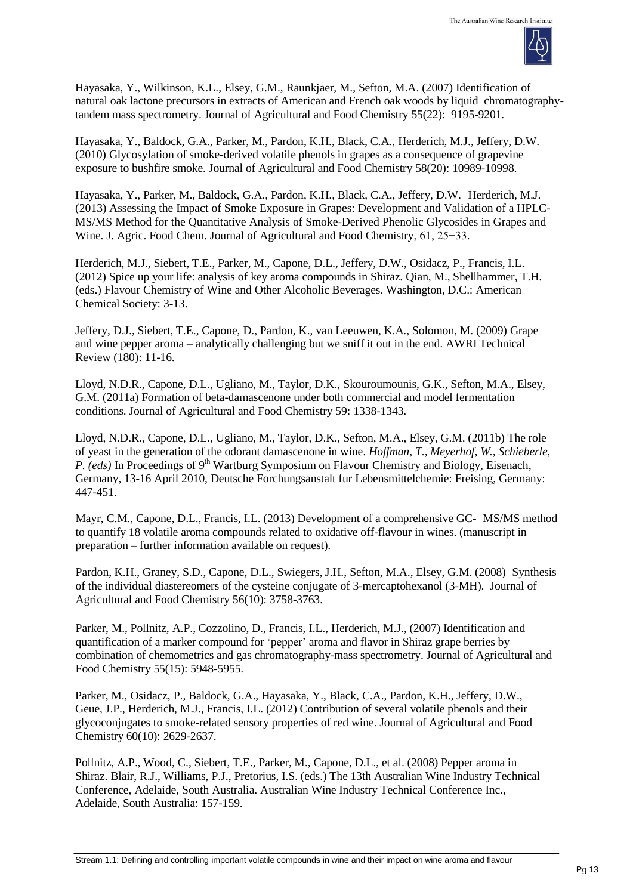

Hayasaka, Y., Wilkinson, K.L., Elsey, G.M., Raunkjaer, M., Sefton, M.A. (2007) Identification of natural oak lactone precursors in extracts of American and French oak woods by liquid chromatographytandem mass spectrometry. Journal of Agricultural and Food Chemistry 55(22): 9195-9201.

Hayasaka, Y., Baldock, G.A., Parker, M., Pardon, K.H., Black, C.A., Herderich, M.J., Jeffery, D.W. (2010) Glycosylation of smoke-derived volatile phenols in grapes as a consequence of grapevine exposure to bushfire smoke. Journal of Agricultural and Food Chemistry 58(20): 10989-10998.

Hayasaka, Y., Parker, M., Baldock, G.A., Pardon, K.H., Black, C.A., Jeffery, D.W. Herderich, M.J. (2013) Assessing the Impact of Smoke Exposure in Grapes: Development and Validation of a HPLC-MS/MS Method for the Quantitative Analysis of Smoke-Derived Phenolic Glycosides in Grapes and Wine. J. Agric. Food Chem. Journal of Agricultural and Food Chemistry, 61, 25−33.

Herderich, M.J., Siebert, T.E., Parker, M., Capone, D.L., Jeffery, D.W., Osidacz, P., Francis, I.L. (2012) Spice up your life: analysis of key aroma compounds in Shiraz. Qian, M., Shellhammer, T.H. (eds.) Flavour Chemistry of Wine and Other Alcoholic Beverages. Washington, D.C.: American Chemical Society: 3-13.

Jeffery, D.J., Siebert, T.E., Capone, D., Pardon, K., van Leeuwen, K.A., Solomon, M. (2009) Grape and wine pepper aroma – analytically challenging but we sniff it out in the end. AWRI Technical Review (180): 11-16.

Lloyd, N.D.R., Capone, D.L., Ugliano, M., Taylor, D.K., Skouroumounis, G.K., Sefton, M.A., Elsey, G.M. (2011a) Formation of beta-damascenone under both commercial and model fermentation conditions. Journal of Agricultural and Food Chemistry 59: 1338-1343.

Lloyd, N.D.R., Capone, D.L., Ugliano, M., Taylor, D.K., Sefton, M.A., Elsey, G.M. (2011b) The role of yeast in the generation of the odorant damascenone in wine. *Hoffman, T., Meyerhof, W., Schieberle,* P. (eds) In Proceedings of 9<sup>th</sup> Wartburg Symposium on Flavour Chemistry and Biology, Eisenach, Germany, 13-16 April 2010, Deutsche Forchungsanstalt fur Lebensmittelchemie: Freising, Germany: 447-451.

Mayr, C.M., Capone, D.L., Francis, I.L. (2013) Development of a comprehensive GC- MS/MS method to quantify 18 volatile aroma compounds related to oxidative off-flavour in wines. (manuscript in preparation – further information available on request).

Pardon, K.H., Graney, S.D., Capone, D.L., Swiegers, J.H., Sefton, M.A., Elsey, G.M. (2008) Synthesis of the individual diastereomers of the cysteine conjugate of 3-mercaptohexanol (3-MH). Journal of Agricultural and Food Chemistry 56(10): 3758-3763.

Parker, M., Pollnitz, A.P., Cozzolino, D., Francis, I.L., Herderich, M.J., (2007) Identification and quantification of a marker compound for 'pepper' aroma and flavor in Shiraz grape berries by combination of chemometrics and gas chromatography-mass spectrometry. Journal of Agricultural and Food Chemistry 55(15): 5948-5955.

Parker, M., Osidacz, P., Baldock, G.A., Hayasaka, Y., Black, C.A., Pardon, K.H., Jeffery, D.W., Geue, J.P., Herderich, M.J., Francis, I.L. (2012) Contribution of several volatile phenols and their glycoconjugates to smoke-related sensory properties of red wine. Journal of Agricultural and Food Chemistry 60(10): 2629-2637.

Pollnitz, A.P., Wood, C., Siebert, T.E., Parker, M., Capone, D.L., et al. (2008) Pepper aroma in Shiraz. Blair, R.J., Williams, P.J., Pretorius, I.S. (eds.) The 13th Australian Wine Industry Technical Conference, Adelaide, South Australia. Australian Wine Industry Technical Conference Inc., Adelaide, South Australia: 157-159.